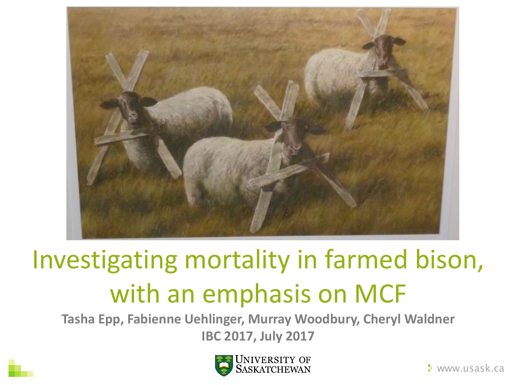

## Investigating mortality in farmed bison, with an emphasis on MCF

**Tasha Epp, Fabienne Uehlinger, Murray Woodbury, Cheryl Waldner IBC 2017, July 2017**



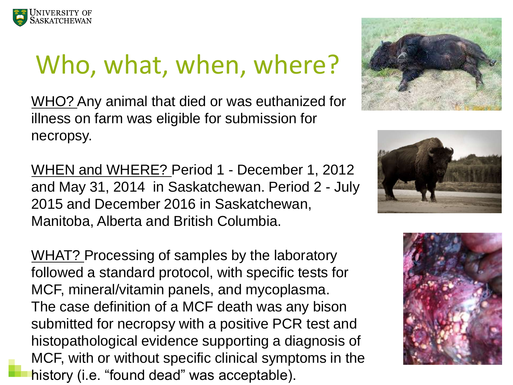

### Who, what, when, where?

WHO? Any animal that died or was euthanized for illness on farm was eligible for submission for necropsy.

WHEN and WHERE? Period 1 - December 1, 2012 and May 31, 2014 in Saskatchewan. Period 2 - July 2015 and December 2016 in Saskatchewan, Manitoba, Alberta and British Columbia.

WHAT? Processing of samples by the laboratory followed a standard protocol, with specific tests for MCF, mineral/vitamin panels, and mycoplasma. The case definition of a MCF death was any bison submitted for necropsy with a positive PCR test and histopathological evidence supporting a diagnosis of MCF, with or without specific clinical symptoms in the history (i.e. "found dead" was acceptable).





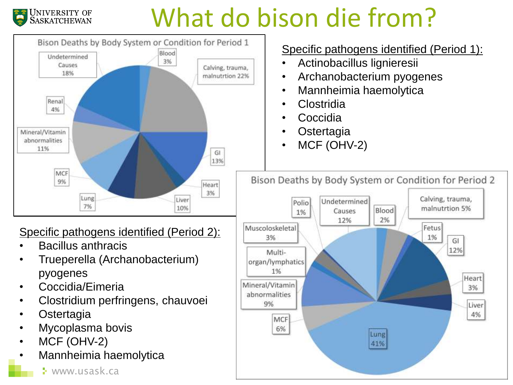## What do bison die from?



- Coccidia/Eimeria
- Clostridium perfringens, chauvoei
- **Ostertagia**

UNIVERSITY OF<br>SASKATCHEWAN

- Mycoplasma bovis
- MCF (OHV-2)
- Mannheimia haemolytica

#### Specific pathogens identified (Period 1):

- Actinobacillus lignieresii
- Archanobacterium pyogenes
- Mannheimia haemolytica
- Clostridia
- Coccidia
- **Ostertagia**
- MCF (OHV-2)

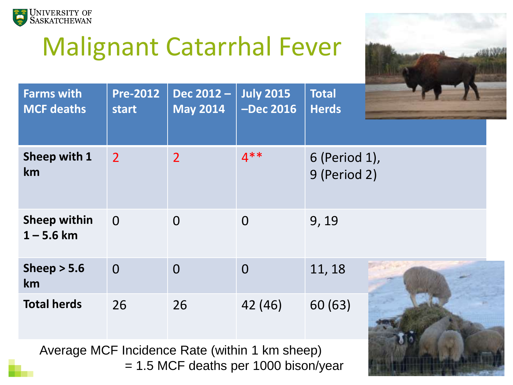

### Malignant Catarrhal Fever



| <b>Farms with</b><br><b>MCF deaths</b> | <b>Pre-2012</b><br>start | Dec 2012 -<br><b>May 2014</b> | <b>July 2015</b><br><b>-Dec 2016</b> | <b>Total</b><br><b>Herds</b>  |
|----------------------------------------|--------------------------|-------------------------------|--------------------------------------|-------------------------------|
| Sheep with 1<br>km                     | $\overline{2}$           | $\overline{2}$                | $4***$                               | 6 (Period 1),<br>9 (Period 2) |
| <b>Sheep within</b><br>$1 - 5.6$ km    | $\Omega$                 | $\overline{0}$                | $\overline{0}$                       | 9, 19                         |
| Sheep $> 5.6$<br><b>km</b>             | $\overline{0}$           | $\overline{0}$                | $\overline{0}$                       | 11, 18                        |
| <b>Total herds</b>                     | 26                       | 26                            | 42 (46)                              | 60(63)                        |

Average MCF Incidence Rate (within 1 km sheep) = 1.5 MCF deaths per 1000 bison/year